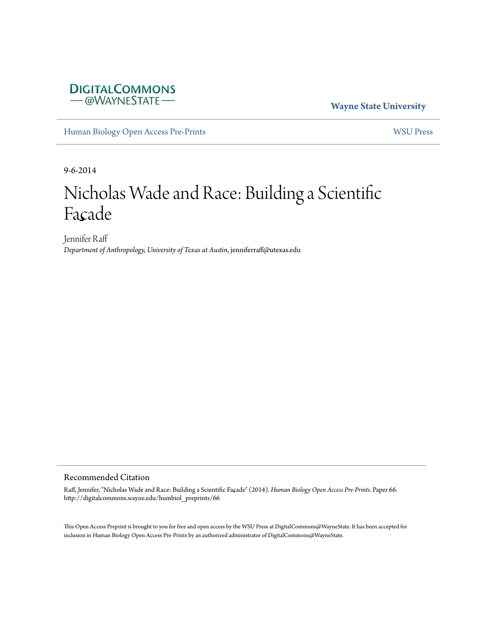# **DIGITALCOMMONS** - @WAYNESTATE-

**Wayne State University**

[Human Biology Open Access Pre-Prints](http://digitalcommons.wayne.edu/humbiol_preprints) [WSU Press](http://digitalcommons.wayne.edu/wsupress)

9-6-2014

# Nicholas Wade and Race: Building a Scientific Facade

Jennifer Raff *Department of Anthropology, University of Texas at Austin*, jenniferraff@utexas.edu

#### Recommended Citation

Raff, Jennifer, "Nicholas Wade and Race: Building a Scientific Façade" (2014). *Human Biology Open Access Pre-Prints.* Paper 66. http://digitalcommons.wayne.edu/humbiol\_preprints/66

This Open Access Preprint is brought to you for free and open access by the WSU Press at DigitalCommons@WayneState. It has been accepted for inclusion in Human Biology Open Access Pre-Prints by an authorized administrator of DigitalCommons@WayneState.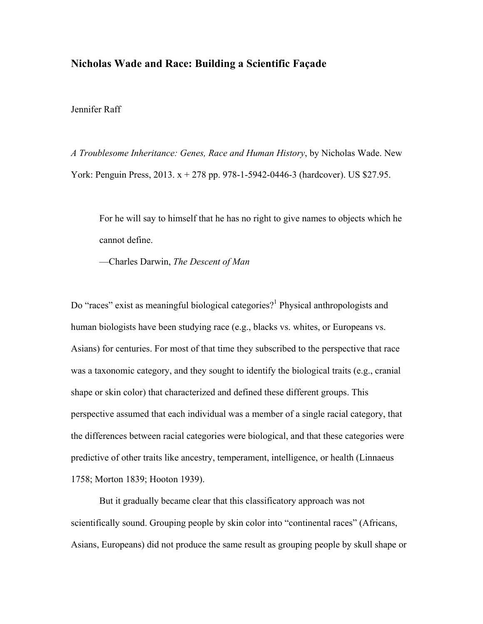## **Nicholas Wade and Race: Building a Scientific Façade**

Jennifer Raff

*A Troublesome Inheritance: Genes, Race and Human History*, by Nicholas Wade. New York: Penguin Press, 2013. x + 278 pp. 978-1-5942-0446-3 (hardcover). US \$27.95.

For he will say to himself that he has no right to give names to objects which he cannot define.

—Charles Darwin, *The Descent of Man*

Do "races" exist as meaningful biological categories?<sup>1</sup> Physical anthropologists and human biologists have been studying race (e.g., blacks vs. whites, or Europeans vs. Asians) for centuries. For most of that time they subscribed to the perspective that race was a taxonomic category, and they sought to identify the biological traits (e.g., cranial shape or skin color) that characterized and defined these different groups. This perspective assumed that each individual was a member of a single racial category, that the differences between racial categories were biological, and that these categories were predictive of other traits like ancestry, temperament, intelligence, or health (Linnaeus 1758; Morton 1839; Hooton 1939).

But it gradually became clear that this classificatory approach was not scientifically sound. Grouping people by skin color into "continental races" (Africans, Asians, Europeans) did not produce the same result as grouping people by skull shape or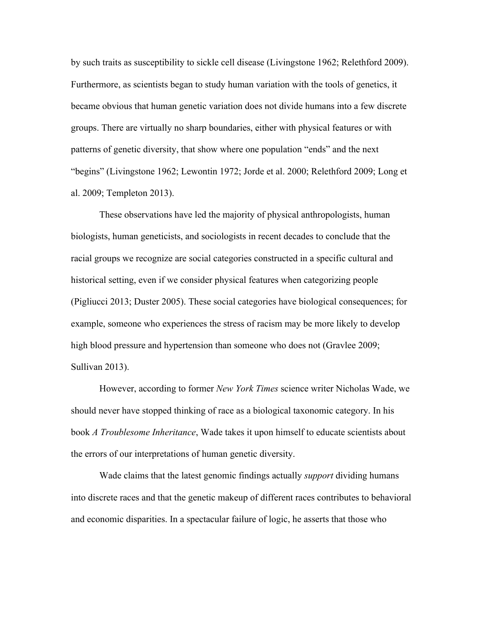by such traits as susceptibility to sickle cell disease (Livingstone 1962; Relethford 2009). Furthermore, as scientists began to study human variation with the tools of genetics, it became obvious that human genetic variation does not divide humans into a few discrete groups. There are virtually no sharp boundaries, either with physical features or with patterns of genetic diversity, that show where one population "ends" and the next "begins" (Livingstone 1962; Lewontin 1972; Jorde et al. 2000; Relethford 2009; Long et al. 2009; Templeton 2013).

These observations have led the majority of physical anthropologists, human biologists, human geneticists, and sociologists in recent decades to conclude that the racial groups we recognize are social categories constructed in a specific cultural and historical setting, even if we consider physical features when categorizing people (Pigliucci 2013; Duster 2005). These social categories have biological consequences; for example, someone who experiences the stress of racism may be more likely to develop high blood pressure and hypertension than someone who does not (Gravlee 2009; Sullivan 2013).

However, according to former *New York Times* science writer Nicholas Wade, we should never have stopped thinking of race as a biological taxonomic category. In his book *A Troublesome Inheritance*, Wade takes it upon himself to educate scientists about the errors of our interpretations of human genetic diversity.

Wade claims that the latest genomic findings actually *support* dividing humans into discrete races and that the genetic makeup of different races contributes to behavioral and economic disparities. In a spectacular failure of logic, he asserts that those who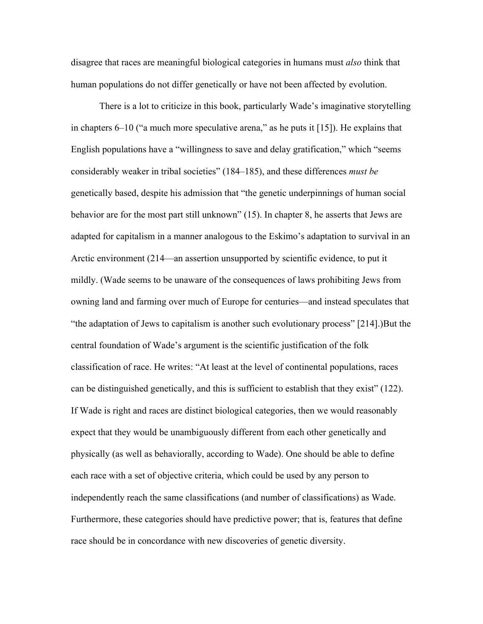disagree that races are meaningful biological categories in humans must *also* think that human populations do not differ genetically or have not been affected by evolution.

There is a lot to criticize in this book, particularly Wade's imaginative storytelling in chapters 6–10 ("a much more speculative arena," as he puts it [15]). He explains that English populations have a "willingness to save and delay gratification," which "seems considerably weaker in tribal societies" (184–185), and these differences *must be* genetically based, despite his admission that "the genetic underpinnings of human social behavior are for the most part still unknown" (15). In chapter 8, he asserts that Jews are adapted for capitalism in a manner analogous to the Eskimo's adaptation to survival in an Arctic environment (214—an assertion unsupported by scientific evidence, to put it mildly. (Wade seems to be unaware of the consequences of laws prohibiting Jews from owning land and farming over much of Europe for centuries—and instead speculates that "the adaptation of Jews to capitalism is another such evolutionary process" [214].)But the central foundation of Wade's argument is the scientific justification of the folk classification of race. He writes: "At least at the level of continental populations, races can be distinguished genetically, and this is sufficient to establish that they exist" (122). If Wade is right and races are distinct biological categories, then we would reasonably expect that they would be unambiguously different from each other genetically and physically (as well as behaviorally, according to Wade). One should be able to define each race with a set of objective criteria, which could be used by any person to independently reach the same classifications (and number of classifications) as Wade. Furthermore, these categories should have predictive power; that is, features that define race should be in concordance with new discoveries of genetic diversity.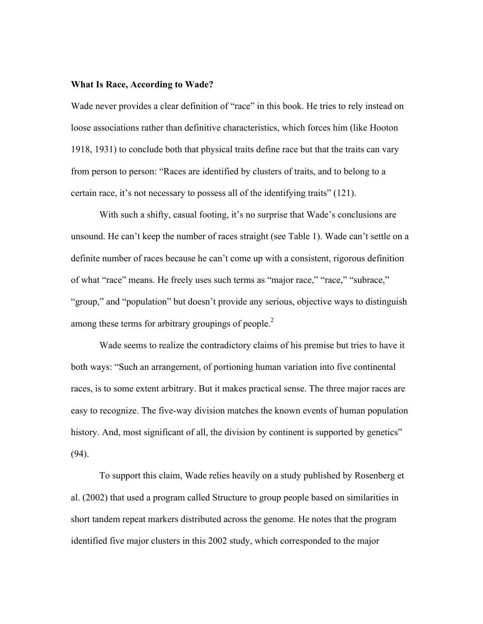#### **What Is Race, According to Wade?**

Wade never provides a clear definition of "race" in this book. He tries to rely instead on loose associations rather than definitive characteristics, which forces him (like Hooton 1918, 1931) to conclude both that physical traits define race but that the traits can vary from person to person: "Races are identified by clusters of traits, and to belong to a certain race, it's not necessary to possess all of the identifying traits" (121).

With such a shifty, casual footing, it's no surprise that Wade's conclusions are unsound. He can't keep the number of races straight (see Table 1). Wade can't settle on a definite number of races because he can't come up with a consistent, rigorous definition of what "race" means. He freely uses such terms as "major race," "race," "subrace," "group," and "population" but doesn't provide any serious, objective ways to distinguish among these terms for arbitrary groupings of people. $<sup>2</sup>$ </sup>

Wade seems to realize the contradictory claims of his premise but tries to have it both ways: "Such an arrangement, of portioning human variation into five continental races, is to some extent arbitrary. But it makes practical sense. The three major races are easy to recognize. The five-way division matches the known events of human population history. And, most significant of all, the division by continent is supported by genetics" (94).

To support this claim, Wade relies heavily on a study published by Rosenberg et al. (2002) that used a program called Structure to group people based on similarities in short tandem repeat markers distributed across the genome. He notes that the program identified five major clusters in this 2002 study, which corresponded to the major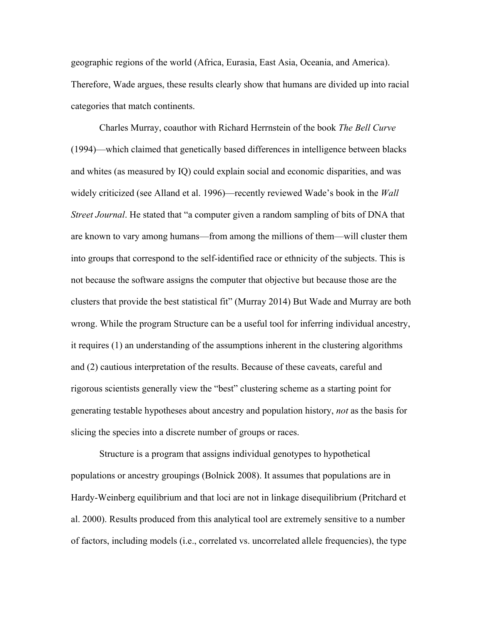geographic regions of the world (Africa, Eurasia, East Asia, Oceania, and America). Therefore, Wade argues, these results clearly show that humans are divided up into racial categories that match continents.

Charles Murray, coauthor with Richard Herrnstein of the book *The Bell Curve* (1994)—which claimed that genetically based differences in intelligence between blacks and whites (as measured by IQ) could explain social and economic disparities, and was widely criticized (see Alland et al. 1996)—recently reviewed Wade's book in the *Wall Street Journal*. He stated that "a computer given a random sampling of bits of DNA that are known to vary among humans—from among the millions of them—will cluster them into groups that correspond to the self-identified race or ethnicity of the subjects. This is not because the software assigns the computer that objective but because those are the clusters that provide the best statistical fit" (Murray 2014) But Wade and Murray are both wrong. While the program Structure can be a useful tool for inferring individual ancestry, it requires (1) an understanding of the assumptions inherent in the clustering algorithms and (2) cautious interpretation of the results. Because of these caveats, careful and rigorous scientists generally view the "best" clustering scheme as a starting point for generating testable hypotheses about ancestry and population history, *not* as the basis for slicing the species into a discrete number of groups or races.

Structure is a program that assigns individual genotypes to hypothetical populations or ancestry groupings (Bolnick 2008). It assumes that populations are in Hardy-Weinberg equilibrium and that loci are not in linkage disequilibrium (Pritchard et al. 2000). Results produced from this analytical tool are extremely sensitive to a number of factors, including models (i.e., correlated vs. uncorrelated allele frequencies), the type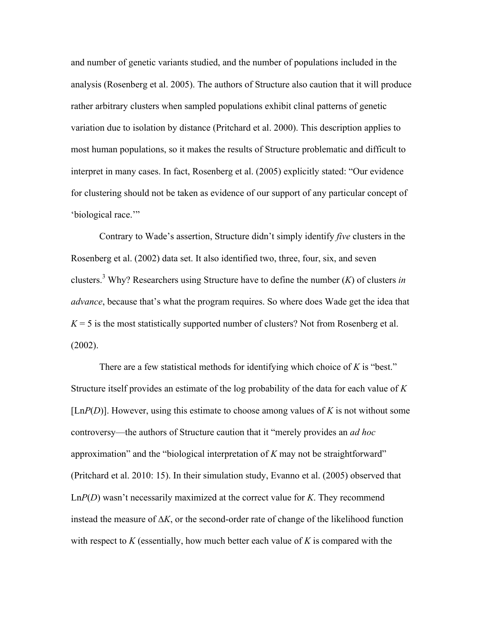and number of genetic variants studied, and the number of populations included in the analysis (Rosenberg et al. 2005). The authors of Structure also caution that it will produce rather arbitrary clusters when sampled populations exhibit clinal patterns of genetic variation due to isolation by distance (Pritchard et al. 2000). This description applies to most human populations, so it makes the results of Structure problematic and difficult to interpret in many cases. In fact, Rosenberg et al. (2005) explicitly stated: "Our evidence for clustering should not be taken as evidence of our support of any particular concept of 'biological race.'"

Contrary to Wade's assertion, Structure didn't simply identify *five* clusters in the Rosenberg et al. (2002) data set. It also identified two, three, four, six, and seven clusters.<sup>3</sup> Why? Researchers using Structure have to define the number  $(K)$  of clusters *in advance*, because that's what the program requires. So where does Wade get the idea that  $K = 5$  is the most statistically supported number of clusters? Not from Rosenberg et al. (2002).

There are a few statistical methods for identifying which choice of *K* is "best." Structure itself provides an estimate of the log probability of the data for each value of *K* [Ln*P*(*D*)]. However, using this estimate to choose among values of *K* is not without some controversy—the authors of Structure caution that it "merely provides an *ad hoc*  approximation" and the "biological interpretation of *K* may not be straightforward" (Pritchard et al. 2010: 15). In their simulation study, Evanno et al. (2005) observed that Ln*P*(*D*) wasn't necessarily maximized at the correct value for *K*. They recommend instead the measure of ∆*K*, or the second-order rate of change of the likelihood function with respect to *K* (essentially, how much better each value of *K* is compared with the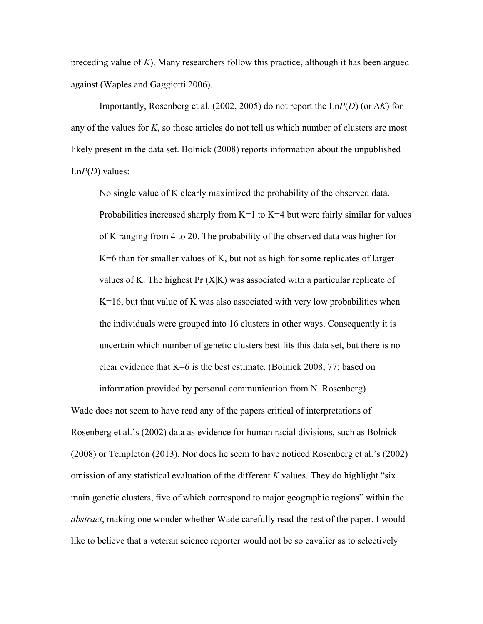preceding value of  $K$ ). Many researchers follow this practice, although it has been argued against (Waples and Gaggiotti 2006).

Importantly, Rosenberg et al. (2002, 2005) do not report the Ln $P(D)$  (or  $\Delta K$ ) for any of the values for *K*, so those articles do not tell us which number of clusters are most likely present in the data set. Bolnick (2008) reports information about the unpublished Ln*P*(*D*) values:

No single value of K clearly maximized the probability of the observed data. Probabilities increased sharply from  $K=1$  to  $K=4$  but were fairly similar for values of K ranging from 4 to 20. The probability of the observed data was higher for  $K=6$  than for smaller values of K, but not as high for some replicates of larger values of K. The highest Pr (X|K) was associated with a particular replicate of  $K=16$ , but that value of K was also associated with very low probabilities when the individuals were grouped into 16 clusters in other ways. Consequently it is uncertain which number of genetic clusters best fits this data set, but there is no clear evidence that K=6 is the best estimate. (Bolnick 2008, 77; based on

Wade does not seem to have read any of the papers critical of interpretations of Rosenberg et al.'s (2002) data as evidence for human racial divisions, such as Bolnick (2008) or Templeton (2013). Nor does he seem to have noticed Rosenberg et al.'s (2002) omission of any statistical evaluation of the different *K* values. They do highlight "six main genetic clusters, five of which correspond to major geographic regions" within the *abstract*, making one wonder whether Wade carefully read the rest of the paper. I would like to believe that a veteran science reporter would not be so cavalier as to selectively

information provided by personal communication from N. Rosenberg)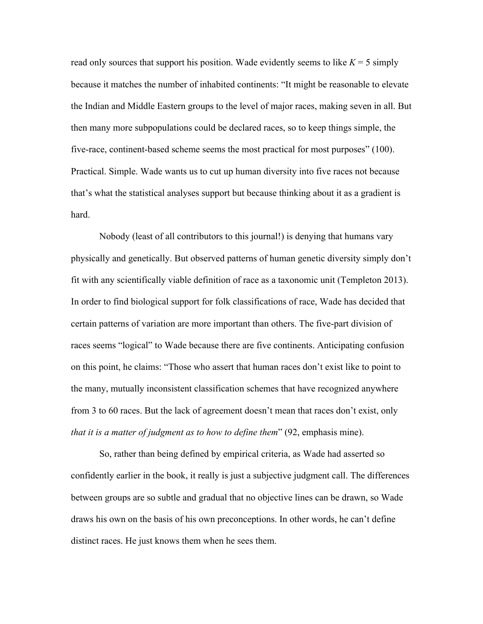read only sources that support his position. Wade evidently seems to like  $K = 5$  simply because it matches the number of inhabited continents: "It might be reasonable to elevate the Indian and Middle Eastern groups to the level of major races, making seven in all. But then many more subpopulations could be declared races, so to keep things simple, the five-race, continent-based scheme seems the most practical for most purposes" (100). Practical. Simple. Wade wants us to cut up human diversity into five races not because that's what the statistical analyses support but because thinking about it as a gradient is hard.

Nobody (least of all contributors to this journal!) is denying that humans vary physically and genetically. But observed patterns of human genetic diversity simply don't fit with any scientifically viable definition of race as a taxonomic unit (Templeton 2013). In order to find biological support for folk classifications of race, Wade has decided that certain patterns of variation are more important than others. The five-part division of races seems "logical" to Wade because there are five continents. Anticipating confusion on this point, he claims: "Those who assert that human races don't exist like to point to the many, mutually inconsistent classification schemes that have recognized anywhere from 3 to 60 races. But the lack of agreement doesn't mean that races don't exist, only *that it is a matter of judgment as to how to define them*" (92, emphasis mine).

So, rather than being defined by empirical criteria, as Wade had asserted so confidently earlier in the book, it really is just a subjective judgment call. The differences between groups are so subtle and gradual that no objective lines can be drawn, so Wade draws his own on the basis of his own preconceptions. In other words, he can't define distinct races. He just knows them when he sees them.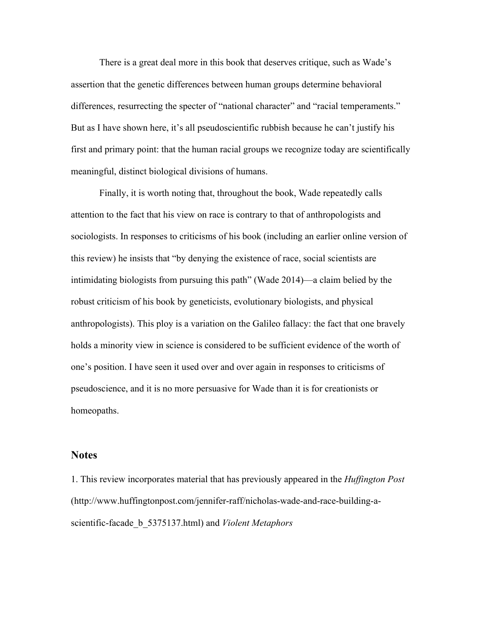There is a great deal more in this book that deserves critique, such as Wade's assertion that the genetic differences between human groups determine behavioral differences, resurrecting the specter of "national character" and "racial temperaments." But as I have shown here, it's all pseudoscientific rubbish because he can't justify his first and primary point: that the human racial groups we recognize today are scientifically meaningful, distinct biological divisions of humans.

Finally, it is worth noting that, throughout the book, Wade repeatedly calls attention to the fact that his view on race is contrary to that of anthropologists and sociologists. In responses to criticisms of his book (including an earlier online version of this review) he insists that "by denying the existence of race, social scientists are intimidating biologists from pursuing this path" (Wade 2014)—a claim belied by the robust criticism of his book by geneticists, evolutionary biologists, and physical anthropologists). This ploy is a variation on the Galileo fallacy: the fact that one bravely holds a minority view in science is considered to be sufficient evidence of the worth of one's position. I have seen it used over and over again in responses to criticisms of pseudoscience, and it is no more persuasive for Wade than it is for creationists or homeopaths.

## **Notes**

1. This review incorporates material that has previously appeared in the *Huffington Post* (http://www.huffingtonpost.com/jennifer-raff/nicholas-wade-and-race-building-ascientific-facade\_b\_5375137.html) and *Violent Metaphors*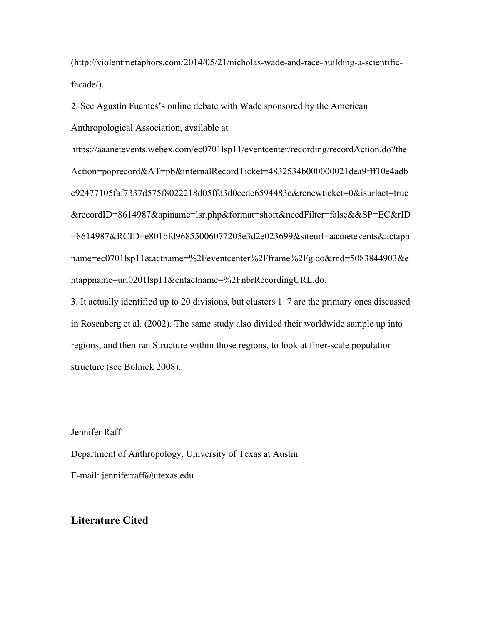(http://violentmetaphors.com/2014/05/21/nicholas-wade-and-race-building-a-scientificfacade/).

2. See Agustín Fuentes's online debate with Wade sponsored by the American Anthropological Association, available at

https://aaanetevents.webex.com/ec0701lsp11/eventcenter/recording/recordAction.do?the Action=poprecord&AT=pb&internalRecordTicket=4832534b000000021dea9fff10e4adb e92477105faf7337d575f8022218d05ffd3d0cede6594483c&renewticket=0&isurlact=true &recordID=8614987&apiname=lsr.php&format=short&needFilter=false&&SP=EC&rID =8614987&RCID=e801bfd96855006077205e3d2e023699&siteurl=aaanetevents&actapp name=ec0701lsp11&actname=%2Feventcenter%2Fframe%2Fg.do&rnd=5083844903&e ntappname=url0201lsp11&entactname=%2FnbrRecordingURL.do.

3. It actually identified up to 20 divisions, but clusters 1–7 are the primary ones discussed in Rosenberg et al. (2002). The same study also divided their worldwide sample up into regions, and then ran Structure within those regions, to look at finer-scale population structure (see Bolnick 2008).

Jennifer Raff

Department of Anthropology, University of Texas at Austin E-mail: jenniferraff@utexas.edu

## **Literature Cited**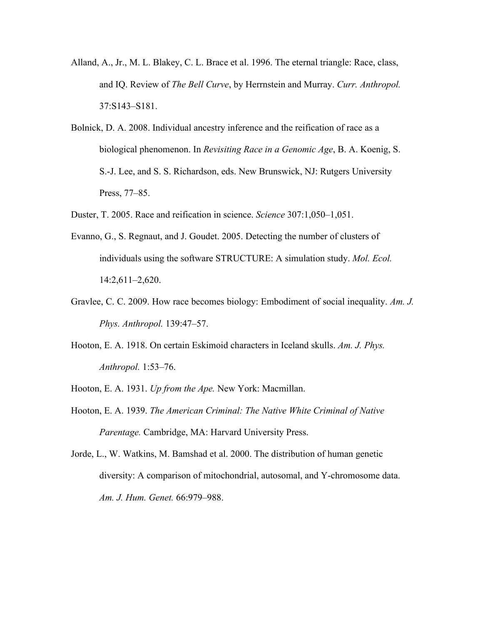- Alland, A., Jr., M. L. Blakey, C. L. Brace et al. 1996. The eternal triangle: Race, class, and IQ. Review of *The Bell Curve*, by Herrnstein and Murray. *Curr. Anthropol.* 37:S143–S181.
- Bolnick, D. A. 2008. Individual ancestry inference and the reification of race as a biological phenomenon. In *Revisiting Race in a Genomic Age*, B. A. Koenig, S. S.-J. Lee, and S. S. Richardson, eds. New Brunswick, NJ: Rutgers University Press, 77–85.
- Duster, T. 2005. Race and reification in science. *Science* 307:1,050–1,051.
- Evanno, G., S. Regnaut, and J. Goudet. 2005. Detecting the number of clusters of individuals using the software STRUCTURE: A simulation study. *Mol. Ecol.* 14:2,611–2,620.
- Gravlee, C. C. 2009. How race becomes biology: Embodiment of social inequality. *Am. J. Phys. Anthropol.* 139:47–57.
- Hooton, E. A. 1918. On certain Eskimoid characters in Iceland skulls. *Am. J. Phys. Anthropol.* 1:53–76.
- Hooton, E. A. 1931. *Up from the Ape.* New York: Macmillan.
- Hooton, E. A. 1939. *The American Criminal: The Native White Criminal of Native Parentage.* Cambridge, MA: Harvard University Press.

Jorde, L., W. Watkins, M. Bamshad et al. 2000. The distribution of human genetic diversity: A comparison of mitochondrial, autosomal, and Y-chromosome data. *Am. J. Hum. Genet.* 66:979–988.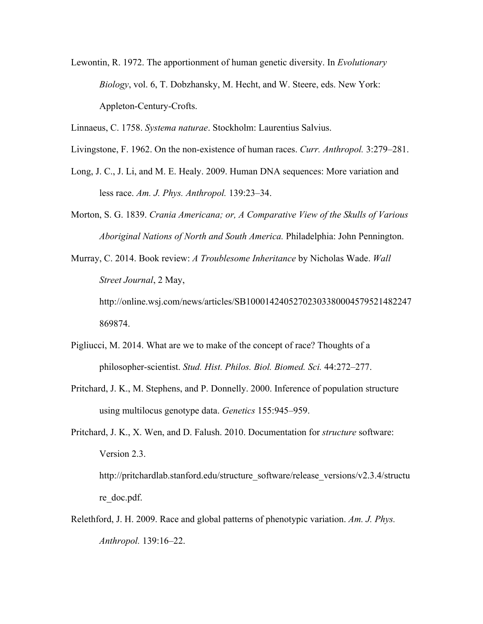- Lewontin, R. 1972. The apportionment of human genetic diversity. In *Evolutionary Biology*, vol. 6, T. Dobzhansky, M. Hecht, and W. Steere, eds. New York: Appleton-Century-Crofts.
- Linnaeus, C. 1758. *Systema naturae*. Stockholm: Laurentius Salvius.
- Livingstone, F. 1962. On the non-existence of human races. *Curr. Anthropol.* 3:279–281.
- Long, J. C., J. Li, and M. E. Healy. 2009. Human DNA sequences: More variation and less race. *Am. J. Phys. Anthropol.* 139:23–34.
- Morton, S. G. 1839. *Crania Americana; or, A Comparative View of the Skulls of Various Aboriginal Nations of North and South America.* Philadelphia: John Pennington.
- Murray, C. 2014. Book review: *A Troublesome Inheritance* by Nicholas Wade. *Wall Street Journal*, 2 May, http://online.wsj.com/news/articles/SB10001424052702303380004579521482247 869874.
- Pigliucci, M. 2014. What are we to make of the concept of race? Thoughts of a philosopher-scientist. *Stud. Hist. Philos. Biol. Biomed. Sci.* 44:272–277.
- Pritchard, J. K., M. Stephens, and P. Donnelly. 2000. Inference of population structure using multilocus genotype data. *Genetics* 155:945–959.
- Pritchard, J. K., X. Wen, and D. Falush. 2010. Documentation for *structure* software: Version 2.3. http://pritchardlab.stanford.edu/structure\_software/release\_versions/v2.3.4/structu re doc.pdf.
- Relethford, J. H. 2009. Race and global patterns of phenotypic variation. *Am. J. Phys. Anthropol.* 139:16–22.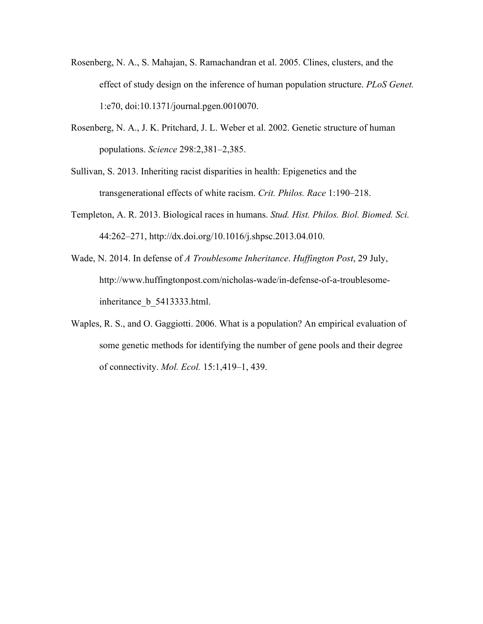- Rosenberg, N. A., S. Mahajan, S. Ramachandran et al. 2005. Clines, clusters, and the effect of study design on the inference of human population structure. *PLoS Genet.* 1:e70, doi:10.1371/journal.pgen.0010070.
- Rosenberg, N. A., J. K. Pritchard, J. L. Weber et al. 2002. Genetic structure of human populations. *Science* 298:2,381–2,385.
- Sullivan, S. 2013. Inheriting racist disparities in health: Epigenetics and the transgenerational effects of white racism. *Crit. Philos. Race* 1:190–218.
- Templeton, A. R. 2013. Biological races in humans. *Stud. Hist. Philos. Biol. Biomed. Sci.*  44:262–271, http://dx.doi.org/10.1016/j.shpsc.2013.04.010.
- Wade, N. 2014. In defense of *A Troublesome Inheritance*. *Huffington Post*, 29 July, http://www.huffingtonpost.com/nicholas-wade/in-defense-of-a-troublesomeinheritance\_b\_5413333.html.
- Waples, R. S., and O. Gaggiotti. 2006. What is a population? An empirical evaluation of some genetic methods for identifying the number of gene pools and their degree of connectivity. *Mol. Ecol.* 15:1,419–1, 439.